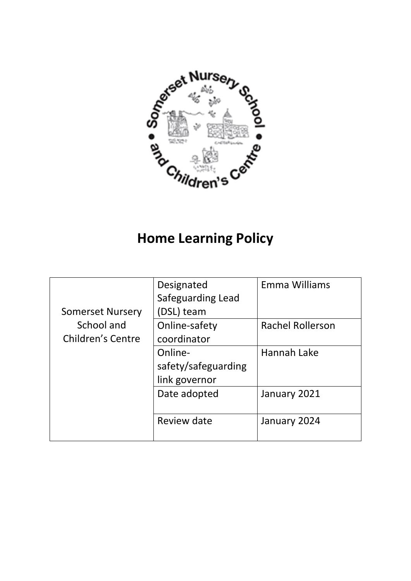

# **Home Learning Policy**

|                         | Designated          | Emma Williams           |
|-------------------------|---------------------|-------------------------|
|                         | Safeguarding Lead   |                         |
| <b>Somerset Nursery</b> | (DSL) team          |                         |
| School and              | Online-safety       | <b>Rachel Rollerson</b> |
| Children's Centre       | coordinator         |                         |
|                         | Online-             | Hannah Lake             |
|                         | safety/safeguarding |                         |
|                         | link governor       |                         |
|                         | Date adopted        | January 2021            |
|                         |                     |                         |
|                         | Review date         | January 2024            |
|                         |                     |                         |
|                         |                     |                         |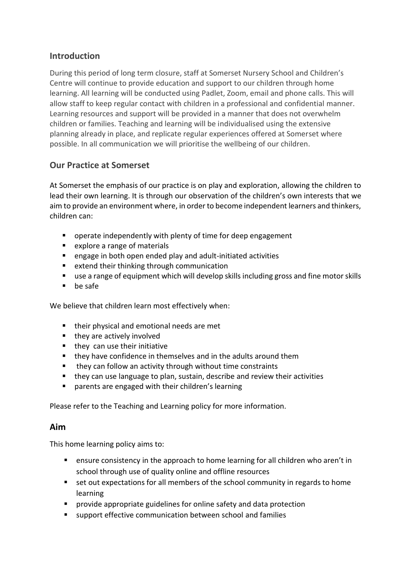## **Introduction**

During this period of long term closure, staff at Somerset Nursery School and Children's Centre will continue to provide education and support to our children through home learning. All learning will be conducted using Padlet, Zoom, email and phone calls. This will allow staff to keep regular contact with children in a professional and confidential manner. Learning resources and support will be provided in a manner that does not overwhelm children or families. Teaching and learning will be individualised using the extensive planning already in place, and replicate regular experiences offered at Somerset where possible. In all communication we will prioritise the wellbeing of our children.

## **Our Practice at Somerset**

At Somerset the emphasis of our practice is on play and exploration, allowing the children to lead their own learning. It is through our observation of the children's own interests that we aim to provide an environment where, in order to become independent learners and thinkers, children can:

- operate independently with plenty of time for deep engagement
- explore a range of materials
- engage in both open ended play and adult-initiated activities
- extend their thinking through communication
- use a range of equipment which will develop skills including gross and fine motor skills
- **be safe**

We believe that children learn most effectively when:

- their physical and emotional needs are met
- they are actively involved
- $\blacksquare$  they can use their initiative
- $\blacksquare$  they have confidence in themselves and in the adults around them
- they can follow an activity through without time constraints
- they can use language to plan, sustain, describe and review their activities
- parents are engaged with their children's learning

Please refer to the Teaching and Learning policy for more information.

#### **Aim**

This home learning policy aims to:

- ensure consistency in the approach to home learning for all children who aren't in school through use of quality online and offline resources
- **EXT** set out expectations for all members of the school community in regards to home learning
- **P** provide appropriate guidelines for online safety and data protection
- support effective communication between school and families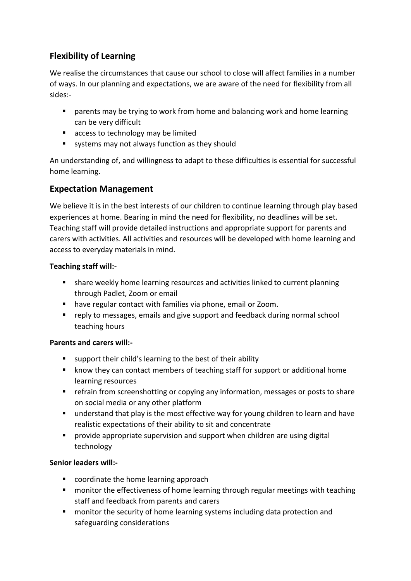# **Flexibility of Learning**

We realise the circumstances that cause our school to close will affect families in a number of ways. In our planning and expectations, we are aware of the need for flexibility from all sides:-

- **E** parents may be trying to work from home and balancing work and home learning can be very difficult
- access to technology may be limited
- systems may not always function as they should

An understanding of, and willingness to adapt to these difficulties is essential for successful home learning.

## **Expectation Management**

We believe it is in the best interests of our children to continue learning through play based experiences at home. Bearing in mind the need for flexibility, no deadlines will be set. Teaching staff will provide detailed instructions and appropriate support for parents and carers with activities. All activities and resources will be developed with home learning and access to everyday materials in mind.

### **Teaching staff will:-**

- share weekly home learning resources and activities linked to current planning through Padlet, Zoom or email
- have regular contact with families via phone, email or Zoom.
- **F** reply to messages, emails and give support and feedback during normal school teaching hours

### **Parents and carers will:-**

- support their child's learning to the best of their ability
- **EXT** know they can contact members of teaching staff for support or additional home learning resources
- **F** refrain from screenshotting or copying any information, messages or posts to share on social media or any other platform
- understand that play is the most effective way for young children to learn and have realistic expectations of their ability to sit and concentrate
- provide appropriate supervision and support when children are using digital technology

#### **Senior leaders will:-**

- coordinate the home learning approach
- **n** monitor the effectiveness of home learning through regular meetings with teaching staff and feedback from parents and carers
- **n** monitor the security of home learning systems including data protection and safeguarding considerations